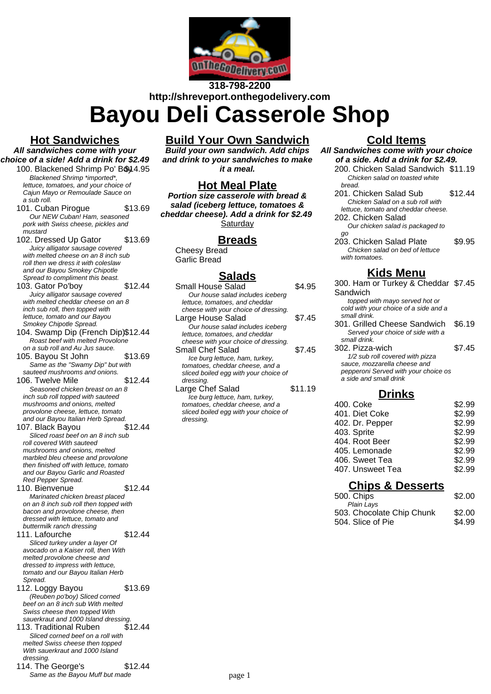

# **318-798-2200 http://shreveport.onthegodelivery.com**

**Bayou Deli Casserole Shop**

#### **Hot Sandwiches**

**All sandwiches come with your choice of a side! Add a drink for \$2.49**

- 100. Blackened Shrimp Po' Boy 4.95 Blackened Shrimp \*imported\*, lettuce, tomatoes, and your choice of Cajun Mayo or Remoulade Sauce on a sub roll.
	- 101. Cuban Piroque \$13.69 Our NEW Cuban! Ham, seasoned pork with Swiss cheese, pickles and .<br>mustard
	- 102. Dressed Up Gator \$13.69 Juicy alligator sausage covered with melted cheese on an 8 inch sub roll then we dress it with coleslaw and our Bayou Smokey Chipotle Spread to compliment this beast.
	- 103. Gator Po'boy \$12.44 Juicy alligator sausage covered with melted cheddar cheese on an 8 inch sub roll, then topped with lettuce, tomato and our Bayou Smokey Chipotle Spread.
	- 104. Swamp Dip (French Dip)\$12.44 Roast beef with melted Provolone on a sub roll and Au Jus sauce.
	- 105. Bayou St John \$13.69 Same as the "Swamy Dip" but with sauteed mushrooms and onions.
	- 106. Twelve Mile \$12.44 Seasoned chicken breast on an 8 inch sub roll topped with sauteed mushrooms and onions, melted provolone cheese, lettuce, tomato and our Bayou Italian Herb Spread.
	- 107. Black Bayou \$12.44 Sliced roast beef on an 8 inch sub roll covered With sauteed mushrooms and onions, melted marbled bleu cheese and provolone then finished off with lettuce, tomato and our Bayou Garlic and Roasted Red Pepper Spread.
	- 110. Bienvenue \$12.44 Marinated chicken breast placed on an 8 inch sub roll then topped with bacon and provolone cheese, then dressed with lettuce, tomato and buttermilk ranch dressing
	- 111. Lafourche \$12.44 Sliced turkey under a layer Of avocado on a Kaiser roll, then With melted provolone cheese and dressed to impress with lettuce, tomato and our Bayou Italian Herb Spread.
	- 112. Loggy Bayou \$13.69 (Reuben po'boy) Sliced corned beef on an 8 inch sub With melted Swiss cheese then topped With sauerkraut and 1000 Island dressing.
	- 113. Traditional Ruben \$12.44 Sliced corned beef on a roll with melted Swiss cheese then topped With sauerkraut and 1000 Island dressing.
	- 114. The George's \$12.44 Same as the Bayou Muff but made

# **Build Your Own Sandwich**

**Build your own sandwich. Add chips and drink to your sandwiches to make it a meal.**

#### **Hot Meal Plate**

**Portion size casserole with bread & salad (iceberg lettuce, tomatoes & cheddar cheese). Add a drink for \$2.49 Saturday** 

#### **Breads**

Cheesy Bread Garlic Bread

# **Salads**

| Small House Salad                     | 4 95    |
|---------------------------------------|---------|
| Our house salad includes iceberg      |         |
| lettuce, tomatoes, and cheddar        |         |
| cheese with your choice of dressing.  |         |
| Large House Salad                     | \$7.45  |
| Our house salad includes iceberg      |         |
| lettuce, tomatoes, and cheddar        |         |
| cheese with your choice of dressing.  |         |
| Small Chef Salad                      | \$7.45  |
| Ice burg lettuce, ham, turkey,        |         |
| tomatoes, cheddar cheese, and a       |         |
| sliced boiled egg with your choice of |         |
| dressing.                             |         |
| Large Chef Salad                      | \$11.19 |
| Ice burg lettuce, ham, turkey,        |         |
| tomatoes, cheddar cheese, and a       |         |
| sliced boiled egg with your choice of |         |
| dressing.                             |         |
|                                       |         |

### **Cold Items**

**All Sandwiches come with your choice of a side. Add a drink for \$2.49.** 200. Chicken Salad Sandwich \$11.19

- Chicken salad on toasted white bread. 201. Chicken Salad Sub \$12.44 Chicken Salad on a sub roll with lettuce, tomato and cheddar cheese.
- 202. Chicken Salad Our chicken salad is packaged to
- go 203. Chicken Salad Plate \$9.95 Chicken salad on bed of lettuce with tomatoes.

#### **Kids Menu**

300. Ham or Turkey & Cheddar \$7.45 Sandwich topped with mayo served hot or cold with your choice of a side and a small drink. 301. Grilled Cheese Sandwich \$6.19 Served your choice of side with a small drink. 302. Pizza-wich \$7.45 1/2 sub roll covered with pizza sauce, mozzarella cheese and pepperoni Served with your choice os a side and small drink **Drinks**

| \$2.99 |
|--------|
| \$2.99 |
| \$2.99 |
| \$2.99 |
| \$2.99 |
| \$2.99 |
| \$2.99 |
|        |

407. Unsweet Tea \$2.99

## **Chips & Desserts**

| 500. Chips                | \$2.00 |
|---------------------------|--------|
| Plain Lavs                |        |
| 503. Chocolate Chip Chunk | \$2.00 |
| 504. Slice of Pie         | \$4.99 |
|                           |        |